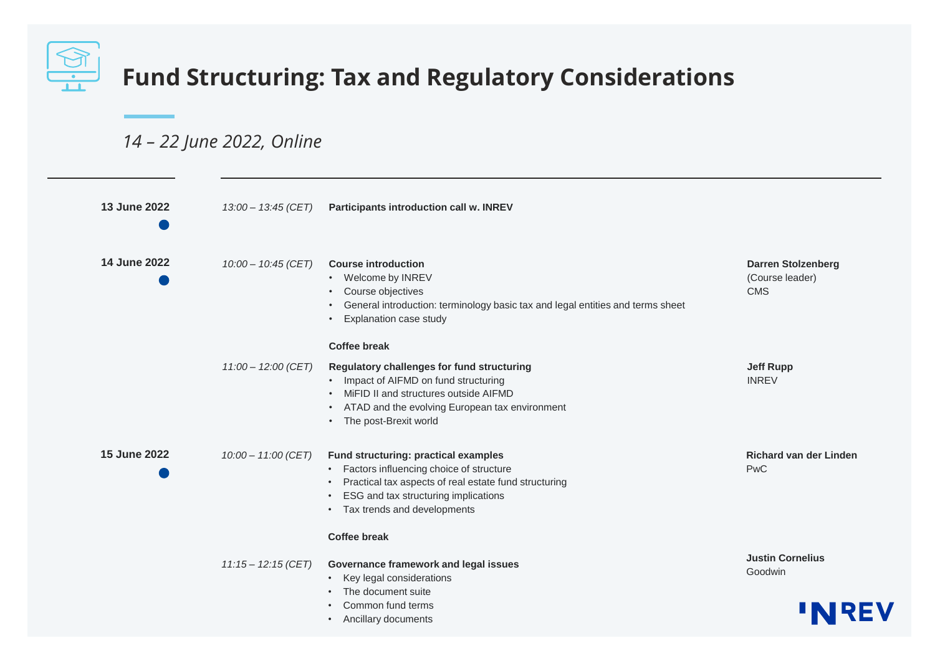

## *14 – 22 June 2022, Online*

| 13 June 2022 | 13:00 - 13:45 (CET)   | <b>Participants introduction call w. INREV</b>                                                                                                                                                                                                           |                                                            |
|--------------|-----------------------|----------------------------------------------------------------------------------------------------------------------------------------------------------------------------------------------------------------------------------------------------------|------------------------------------------------------------|
| 14 June 2022 | $10:00 - 10:45$ (CET) | <b>Course introduction</b><br>Welcome by INREV<br>$\bullet$<br>Course objectives<br>$\bullet$<br>General introduction: terminology basic tax and legal entities and terms sheet<br>$\bullet$<br>Explanation case study<br>$\bullet$                      | <b>Darren Stolzenberg</b><br>(Course leader)<br><b>CMS</b> |
|              |                       | <b>Coffee break</b>                                                                                                                                                                                                                                      |                                                            |
|              | $11:00 - 12:00$ (CET) | Regulatory challenges for fund structuring<br>Impact of AIFMD on fund structuring<br>$\bullet$<br>MiFID II and structures outside AIFMD<br>ATAD and the evolving European tax environment<br>$\bullet$<br>The post-Brexit world<br>$\bullet$             | <b>Jeff Rupp</b><br><b>INREV</b>                           |
| 15 June 2022 | 10:00 - 11:00 (CET)   | Fund structuring: practical examples<br>• Factors influencing choice of structure<br>Practical tax aspects of real estate fund structuring<br>$\bullet$<br>ESG and tax structuring implications<br>$\bullet$<br>Tax trends and developments<br>$\bullet$ | <b>Richard van der Linden</b><br>PwC                       |
|              |                       | <b>Coffee break</b>                                                                                                                                                                                                                                      |                                                            |
|              | $11:15 - 12:15$ (CET) | Governance framework and legal issues<br>Key legal considerations<br>$\bullet$<br>The document suite<br>$\bullet$<br>Common fund terms<br>$\bullet$                                                                                                      | <b>Justin Cornelius</b><br>Goodwin                         |
|              |                       | Ancillary documents<br>$\bullet$                                                                                                                                                                                                                         |                                                            |